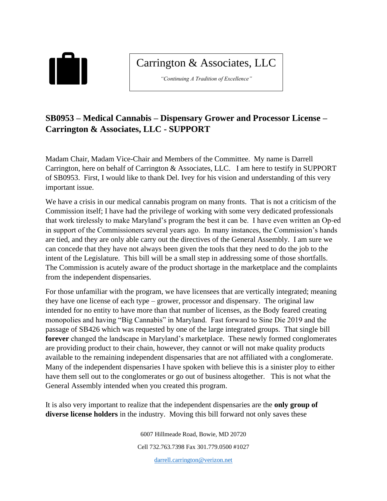

## Carrington & Associates, LLC

*"Continuing A Tradition of Excellence"*

## **SB0953 – Medical Cannabis – Dispensary Grower and Processor License – Carrington & Associates, LLC - SUPPORT**

Madam Chair, Madam Vice-Chair and Members of the Committee. My name is Darrell Carrington, here on behalf of Carrington & Associates, LLC. I am here to testify in SUPPORT of SB0953. First, I would like to thank Del. Ivey for his vision and understanding of this very important issue.

We have a crisis in our medical cannabis program on many fronts. That is not a criticism of the Commission itself; I have had the privilege of working with some very dedicated professionals that work tirelessly to make Maryland's program the best it can be. I have even written an Op-ed in support of the Commissioners several years ago. In many instances, the Commission's hands are tied, and they are only able carry out the directives of the General Assembly. I am sure we can concede that they have not always been given the tools that they need to do the job to the intent of the Legislature. This bill will be a small step in addressing some of those shortfalls. The Commission is acutely aware of the product shortage in the marketplace and the complaints from the independent dispensaries.

For those unfamiliar with the program, we have licensees that are vertically integrated; meaning they have one license of each type – grower, processor and dispensary. The original law intended for no entity to have more than that number of licenses, as the Body feared creating monopolies and having "Big Cannabis" in Maryland. Fast forward to Sine Die 2019 and the passage of SB426 which was requested by one of the large integrated groups. That single bill **forever** changed the landscape in Maryland's marketplace. These newly formed conglomerates are providing product to their chain, however, they cannot or will not make quality products available to the remaining independent dispensaries that are not affiliated with a conglomerate. Many of the independent dispensaries I have spoken with believe this is a sinister ploy to either have them sell out to the conglomerates or go out of business altogether. This is not what the General Assembly intended when you created this program.

It is also very important to realize that the independent dispensaries are the **only group of diverse license holders** in the industry. Moving this bill forward not only saves these

> 6007 Hillmeade Road, Bowie, MD 20720 Cell 732.763.7398 Fax 301.779.0500 #1027 [darrell.carrington@verizon.net](mailto:darrell.carrington@verizon.net)